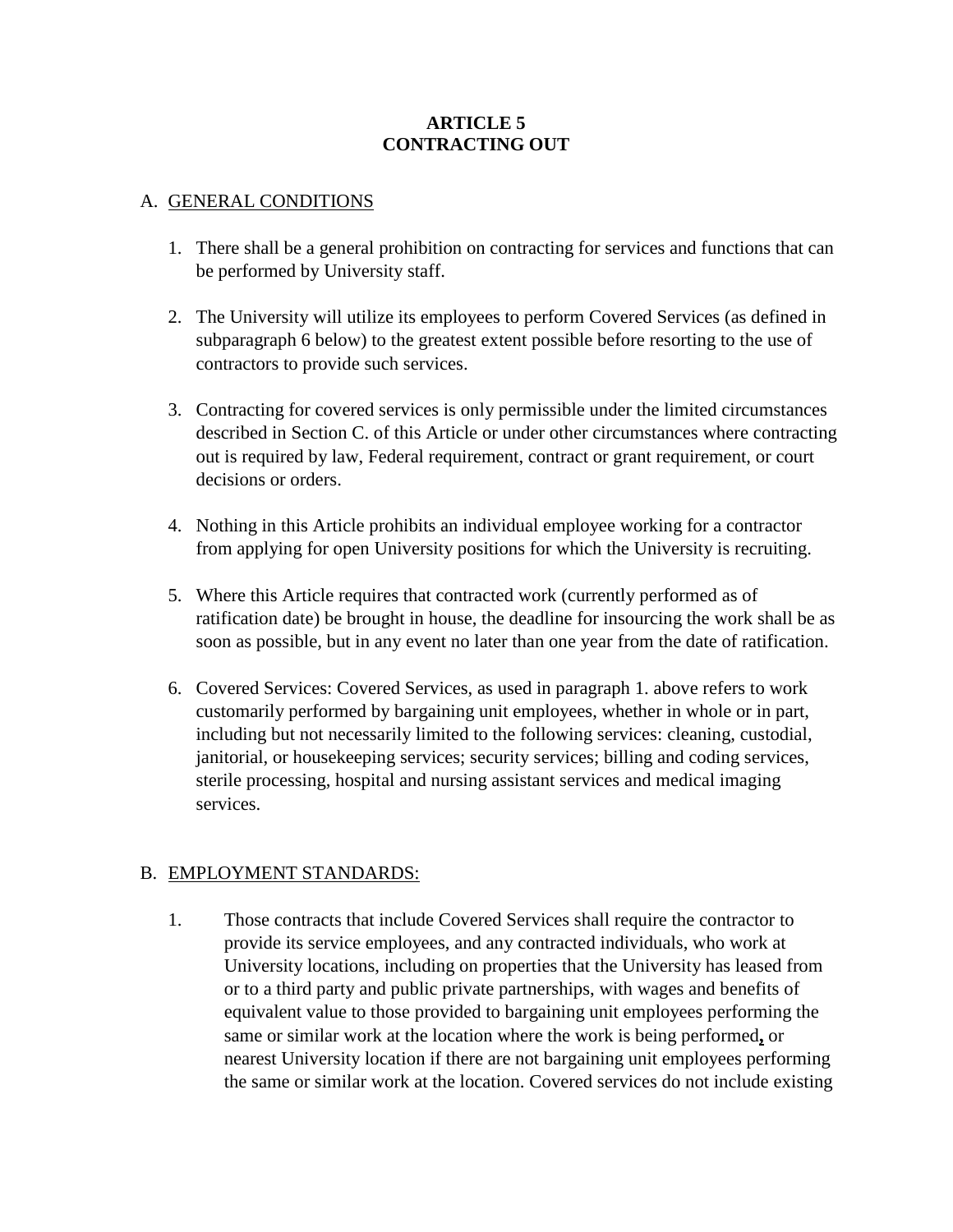#### **ARTICLE 5 CONTRACTING OUT**

#### A. GENERAL CONDITIONS

- 1. There shall be a general prohibition on contracting for services and functions that can be performed by University staff.
- 2. The University will utilize its employees to perform Covered Services (as defined in subparagraph 6 below) to the greatest extent possible before resorting to the use of contractors to provide such services.
- 3. Contracting for covered services is only permissible under the limited circumstances described in Section C. of this Article or under other circumstances where contracting out is required by law, Federal requirement, contract or grant requirement, or court decisions or orders.
- 4. Nothing in this Article prohibits an individual employee working for a contractor from applying for open University positions for which the University is recruiting.
- 5. Where this Article requires that contracted work (currently performed as of ratification date) be brought in house, the deadline for insourcing the work shall be as soon as possible, but in any event no later than one year from the date of ratification.
- 6. Covered Services: Covered Services, as used in paragraph 1. above refers to work customarily performed by bargaining unit employees, whether in whole or in part, including but not necessarily limited to the following services: cleaning, custodial, janitorial, or housekeeping services; security services; billing and coding services, sterile processing, hospital and nursing assistant services and medical imaging services.

#### B. EMPLOYMENT STANDARDS:

1. Those contracts that include Covered Services shall require the contractor to provide its service employees, and any contracted individuals, who work at University locations, including on properties that the University has leased from or to a third party and public private partnerships, with wages and benefits of equivalent value to those provided to bargaining unit employees performing the same or similar work at the location where the work is being performed**,** or nearest University location if there are not bargaining unit employees performing the same or similar work at the location. Covered services do not include existing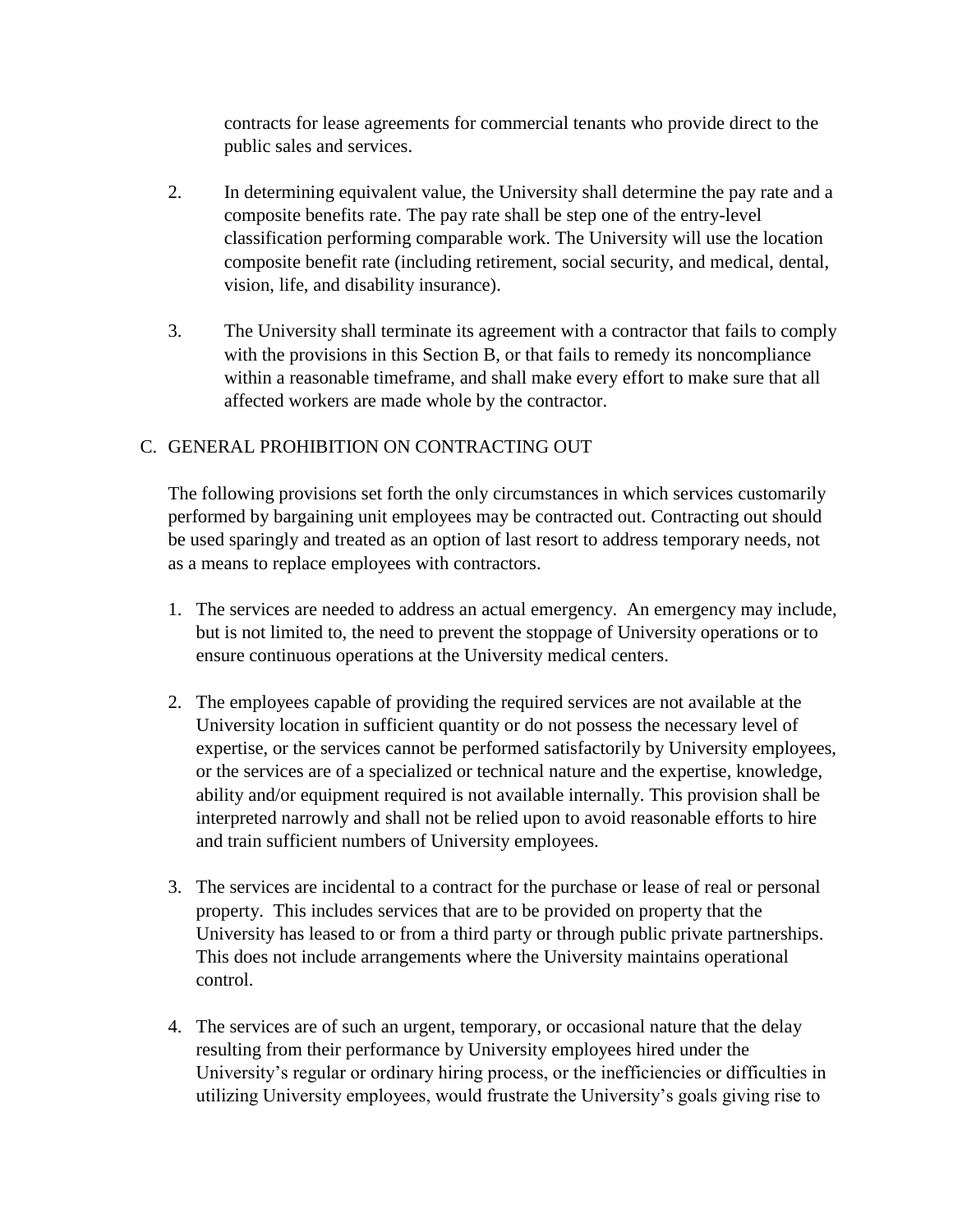contracts for lease agreements for commercial tenants who provide direct to the public sales and services.

- 2. In determining equivalent value, the University shall determine the pay rate and a composite benefits rate. The pay rate shall be step one of the entry-level classification performing comparable work. The University will use the location composite benefit rate (including retirement, social security, and medical, dental, vision, life, and disability insurance).
- 3. The University shall terminate its agreement with a contractor that fails to comply with the provisions in this Section B, or that fails to remedy its noncompliance within a reasonable timeframe, and shall make every effort to make sure that all affected workers are made whole by the contractor.

## C. GENERAL PROHIBITION ON CONTRACTING OUT

The following provisions set forth the only circumstances in which services customarily performed by bargaining unit employees may be contracted out. Contracting out should be used sparingly and treated as an option of last resort to address temporary needs, not as a means to replace employees with contractors.

- 1. The services are needed to address an actual emergency. An emergency may include, but is not limited to, the need to prevent the stoppage of University operations or to ensure continuous operations at the University medical centers.
- 2. The employees capable of providing the required services are not available at the University location in sufficient quantity or do not possess the necessary level of expertise, or the services cannot be performed satisfactorily by University employees, or the services are of a specialized or technical nature and the expertise, knowledge, ability and/or equipment required is not available internally. This provision shall be interpreted narrowly and shall not be relied upon to avoid reasonable efforts to hire and train sufficient numbers of University employees.
- 3. The services are incidental to a contract for the purchase or lease of real or personal property. This includes services that are to be provided on property that the University has leased to or from a third party or through public private partnerships. This does not include arrangements where the University maintains operational control.
- 4. The services are of such an urgent, temporary, or occasional nature that the delay resulting from their performance by University employees hired under the University's regular or ordinary hiring process, or the inefficiencies or difficulties in utilizing University employees, would frustrate the University's goals giving rise to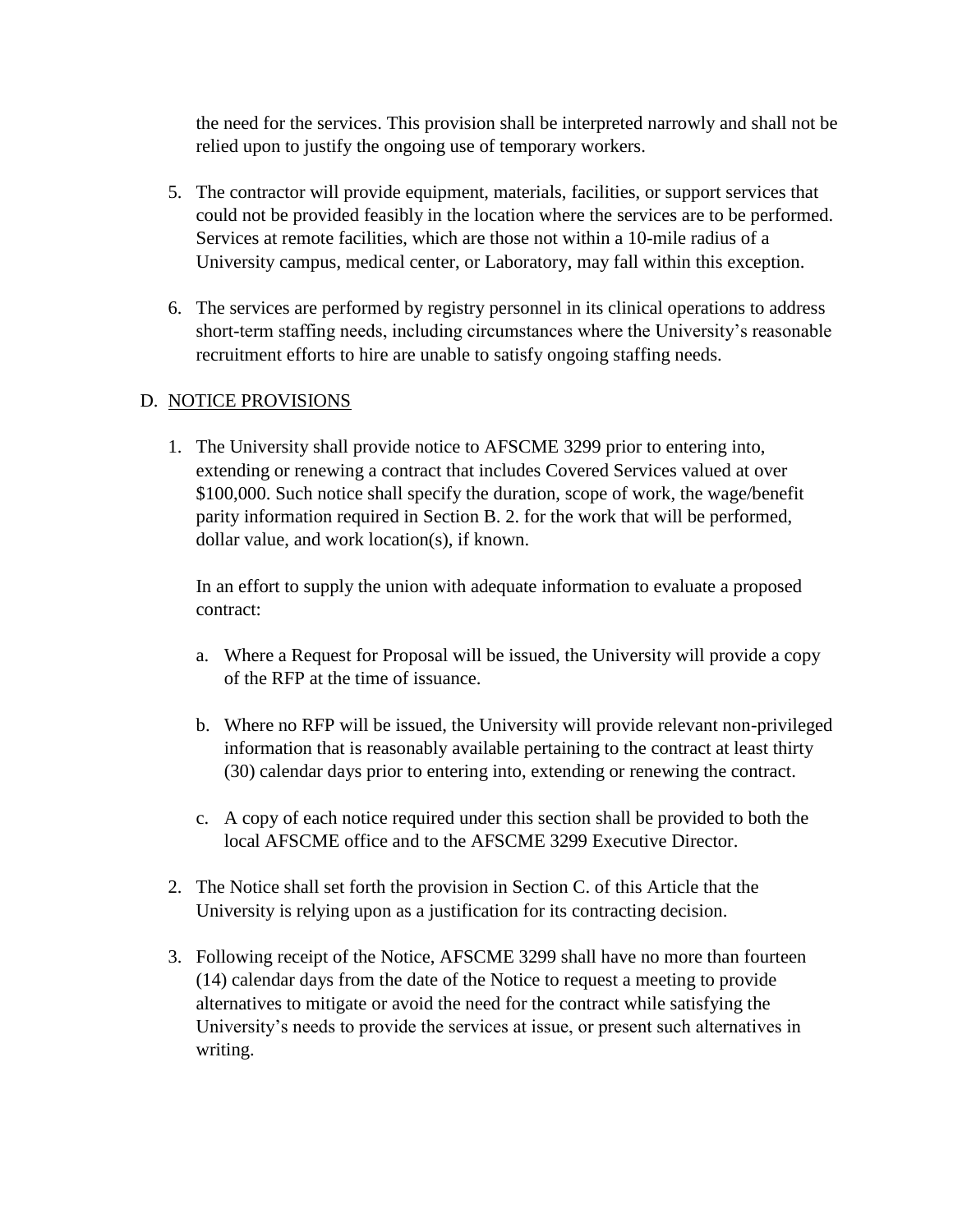the need for the services. This provision shall be interpreted narrowly and shall not be relied upon to justify the ongoing use of temporary workers.

- 5. The contractor will provide equipment, materials, facilities, or support services that could not be provided feasibly in the location where the services are to be performed. Services at remote facilities, which are those not within a 10-mile radius of a University campus, medical center, or Laboratory, may fall within this exception.
- 6. The services are performed by registry personnel in its clinical operations to address short-term staffing needs, including circumstances where the University's reasonable recruitment efforts to hire are unable to satisfy ongoing staffing needs.

# D. NOTICE PROVISIONS

1. The University shall provide notice to AFSCME 3299 prior to entering into, extending or renewing a contract that includes Covered Services valued at over \$100,000. Such notice shall specify the duration, scope of work, the wage/benefit parity information required in Section B. 2. for the work that will be performed, dollar value, and work location(s), if known.

In an effort to supply the union with adequate information to evaluate a proposed contract:

- a. Where a Request for Proposal will be issued, the University will provide a copy of the RFP at the time of issuance.
- b. Where no RFP will be issued, the University will provide relevant non-privileged information that is reasonably available pertaining to the contract at least thirty (30) calendar days prior to entering into, extending or renewing the contract.
- c. A copy of each notice required under this section shall be provided to both the local AFSCME office and to the AFSCME 3299 Executive Director.
- 2. The Notice shall set forth the provision in Section C. of this Article that the University is relying upon as a justification for its contracting decision.
- 3. Following receipt of the Notice, AFSCME 3299 shall have no more than fourteen (14) calendar days from the date of the Notice to request a meeting to provide alternatives to mitigate or avoid the need for the contract while satisfying the University's needs to provide the services at issue, or present such alternatives in writing.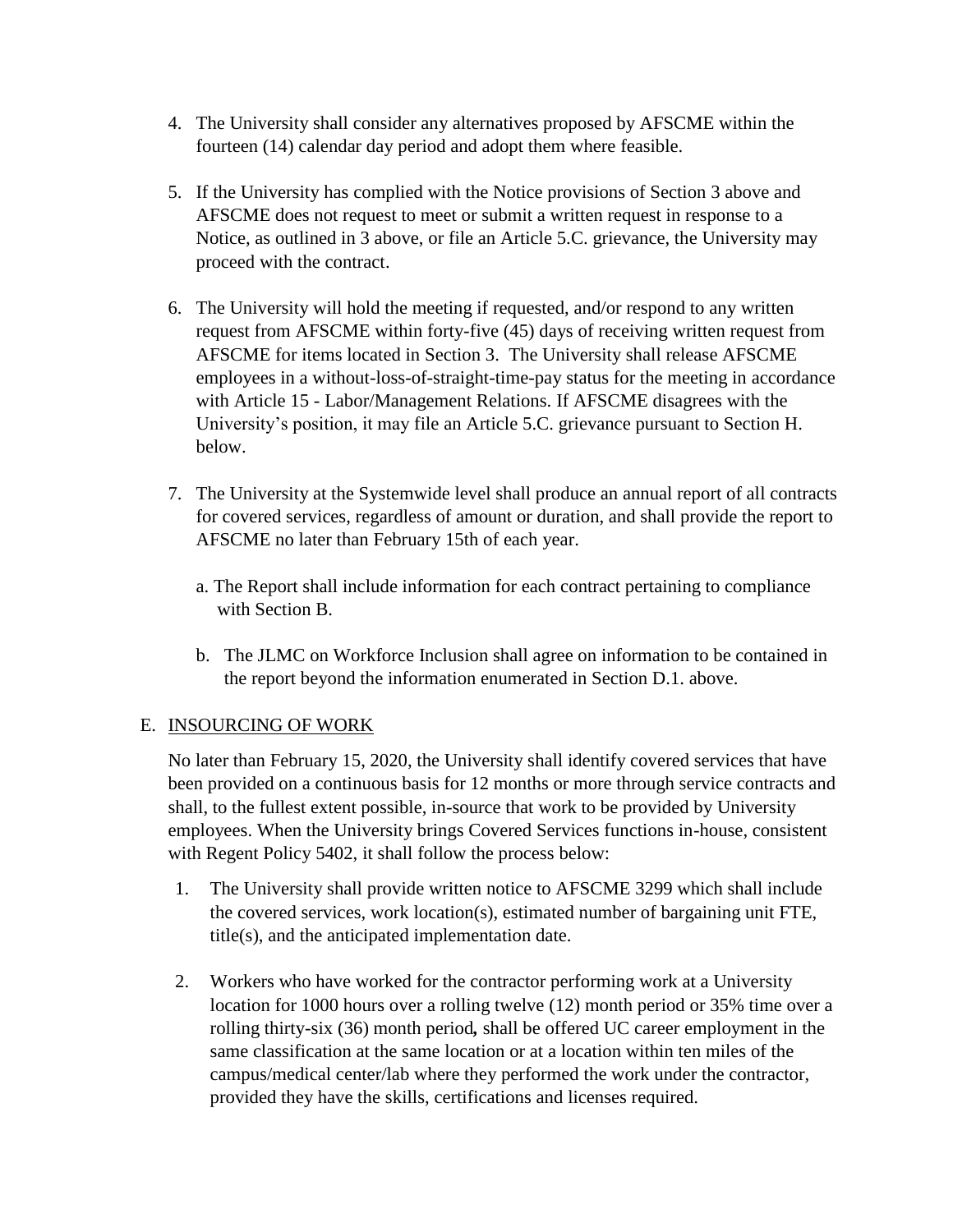- 4. The University shall consider any alternatives proposed by AFSCME within the fourteen (14) calendar day period and adopt them where feasible.
- 5. If the University has complied with the Notice provisions of Section 3 above and AFSCME does not request to meet or submit a written request in response to a Notice, as outlined in 3 above, or file an Article 5.C. grievance, the University may proceed with the contract.
- 6. The University will hold the meeting if requested, and/or respond to any written request from AFSCME within forty-five (45) days of receiving written request from AFSCME for items located in Section 3. The University shall release AFSCME employees in a without-loss-of-straight-time-pay status for the meeting in accordance with Article 15 - Labor/Management Relations. If AFSCME disagrees with the University's position, it may file an Article 5.C. grievance pursuant to Section H. below.
- 7. The University at the Systemwide level shall produce an annual report of all contracts for covered services, regardless of amount or duration, and shall provide the report to AFSCME no later than February 15th of each year.
	- a. The Report shall include information for each contract pertaining to compliance with Section B.
	- b. The JLMC on Workforce Inclusion shall agree on information to be contained in the report beyond the information enumerated in Section D.1. above.

# E. INSOURCING OF WORK

No later than February 15, 2020, the University shall identify covered services that have been provided on a continuous basis for 12 months or more through service contracts and shall, to the fullest extent possible, in-source that work to be provided by University employees. When the University brings Covered Services functions in-house, consistent with Regent Policy 5402, it shall follow the process below:

- 1. The University shall provide written notice to AFSCME 3299 which shall include the covered services, work location(s), estimated number of bargaining unit FTE, title(s), and the anticipated implementation date.
- 2. Workers who have worked for the contractor performing work at a University location for 1000 hours over a rolling twelve (12) month period or 35% time over a rolling thirty-six (36) month period*,* shall be offered UC career employment in the same classification at the same location or at a location within ten miles of the campus/medical center/lab where they performed the work under the contractor, provided they have the skills, certifications and licenses required.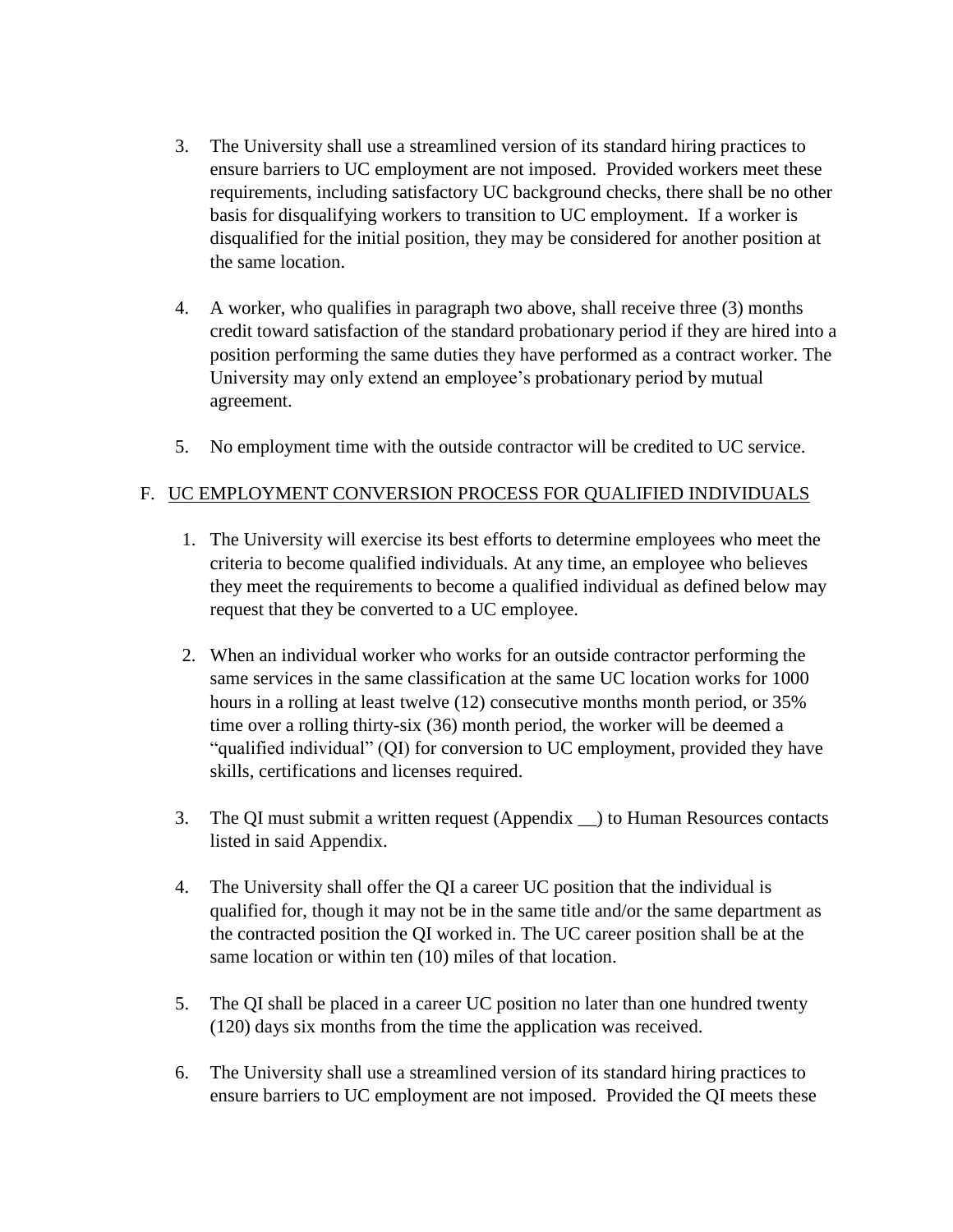- 3. The University shall use a streamlined version of its standard hiring practices to ensure barriers to UC employment are not imposed. Provided workers meet these requirements, including satisfactory UC background checks, there shall be no other basis for disqualifying workers to transition to UC employment. If a worker is disqualified for the initial position, they may be considered for another position at the same location.
- 4. A worker, who qualifies in paragraph two above, shall receive three (3) months credit toward satisfaction of the standard probationary period if they are hired into a position performing the same duties they have performed as a contract worker. The University may only extend an employee's probationary period by mutual agreement.
- 5. No employment time with the outside contractor will be credited to UC service.

## F. UC EMPLOYMENT CONVERSION PROCESS FOR QUALIFIED INDIVIDUALS

- 1. The University will exercise its best efforts to determine employees who meet the criteria to become qualified individuals. At any time, an employee who believes they meet the requirements to become a qualified individual as defined below may request that they be converted to a UC employee.
- 2. When an individual worker who works for an outside contractor performing the same services in the same classification at the same UC location works for 1000 hours in a rolling at least twelve (12) consecutive months month period, or 35% time over a rolling thirty-six (36) month period, the worker will be deemed a "qualified individual" (QI) for conversion to UC employment, provided they have skills, certifications and licenses required.
- 3. The QI must submit a written request (Appendix \_\_) to Human Resources contacts listed in said Appendix.
- 4. The University shall offer the QI a career UC position that the individual is qualified for, though it may not be in the same title and/or the same department as the contracted position the QI worked in. The UC career position shall be at the same location or within ten (10) miles of that location.
- 5. The QI shall be placed in a career UC position no later than one hundred twenty (120) days six months from the time the application was received.
- 6. The University shall use a streamlined version of its standard hiring practices to ensure barriers to UC employment are not imposed. Provided the QI meets these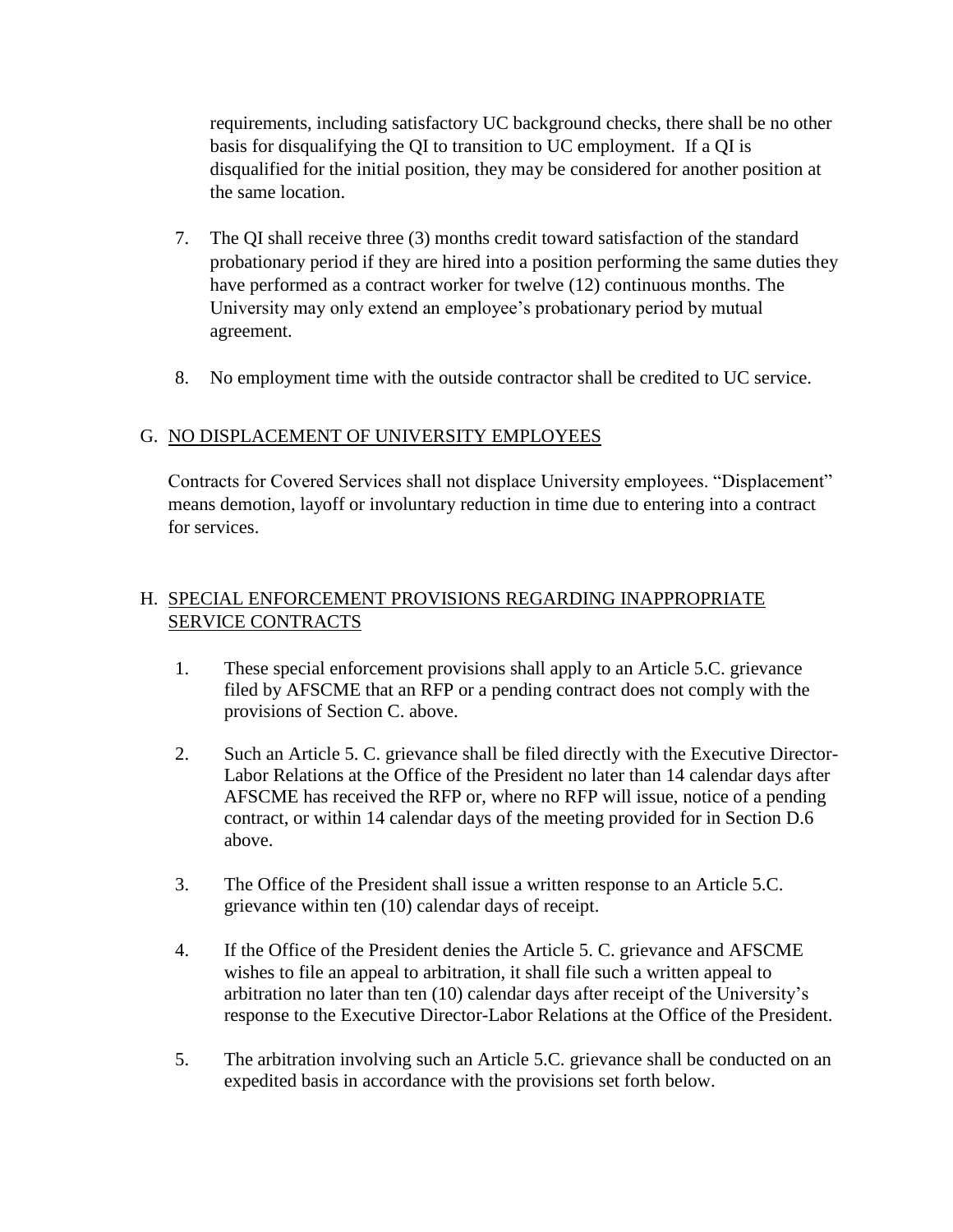requirements, including satisfactory UC background checks, there shall be no other basis for disqualifying the QI to transition to UC employment. If a QI is disqualified for the initial position, they may be considered for another position at the same location.

- 7. The QI shall receive three (3) months credit toward satisfaction of the standard probationary period if they are hired into a position performing the same duties they have performed as a contract worker for twelve (12) continuous months. The University may only extend an employee's probationary period by mutual agreement.
- 8. No employment time with the outside contractor shall be credited to UC service.

## G. NO DISPLACEMENT OF UNIVERSITY EMPLOYEES

Contracts for Covered Services shall not displace University employees. "Displacement" means demotion, layoff or involuntary reduction in time due to entering into a contract for services.

# H. SPECIAL ENFORCEMENT PROVISIONS REGARDING INAPPROPRIATE SERVICE CONTRACTS

- 1. These special enforcement provisions shall apply to an Article 5.C. grievance filed by AFSCME that an RFP or a pending contract does not comply with the provisions of Section C. above.
- 2. Such an Article 5. C. grievance shall be filed directly with the Executive Director-Labor Relations at the Office of the President no later than 14 calendar days after AFSCME has received the RFP or, where no RFP will issue, notice of a pending contract, or within 14 calendar days of the meeting provided for in Section D.6 above.
- 3. The Office of the President shall issue a written response to an Article 5.C. grievance within ten (10) calendar days of receipt.
- 4. If the Office of the President denies the Article 5. C. grievance and AFSCME wishes to file an appeal to arbitration, it shall file such a written appeal to arbitration no later than ten (10) calendar days after receipt of the University's response to the Executive Director-Labor Relations at the Office of the President.
- 5. The arbitration involving such an Article 5.C. grievance shall be conducted on an expedited basis in accordance with the provisions set forth below.